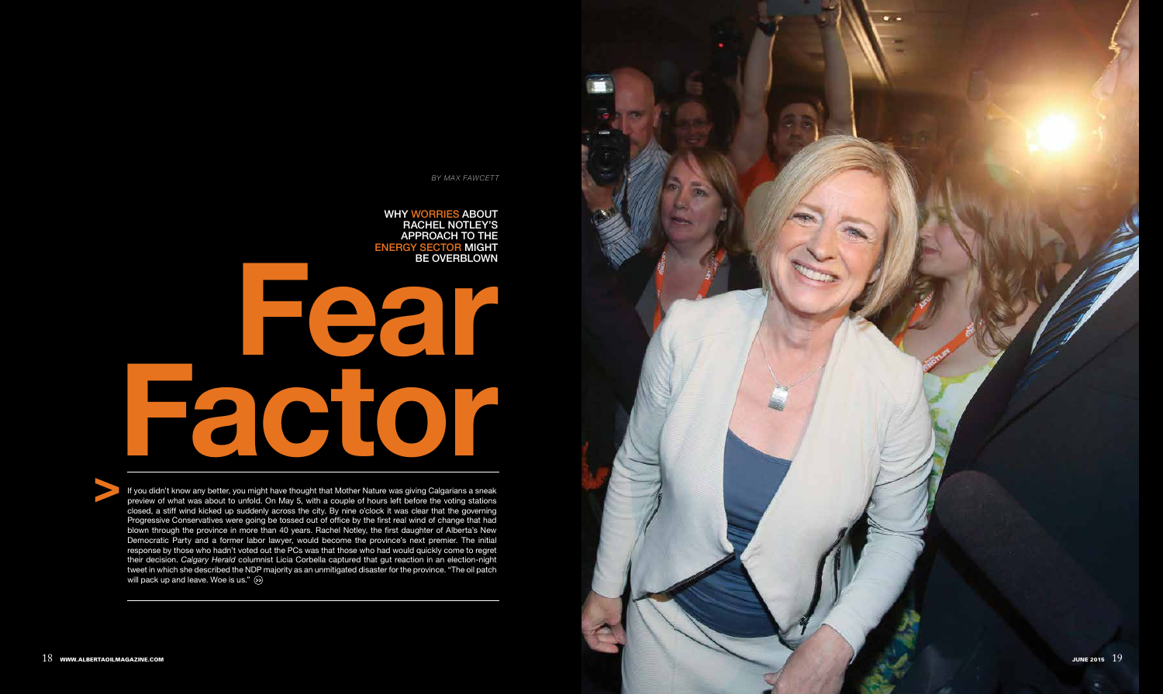

Fear Factor

Why worries about RACHEL NOTLEY'S approach to the e nergy sector might be overblown

If you didn't know any better, you might have thought that Mother Nature was giving Calgarians a sneak preview of what was about to unfold. On May 5, with a couple of hours left before the voting stations closed, a stiff wind kicked up suddenly across the city. By nine o'clock it was clear that the governing Progressive Conservatives were going be tossed out of office by the first real wind of change that had blown through the province in more than 40 years. Rachel Notley, the first daughter of Alberta's New Democratic Party and a former labor lawyer, would become the province's next premier. The initial response by those who hadn't voted out the PCs was that those who had would quickly come to regret their decision. *Calgary Herald* columnist Licia Corbella captured that gut reaction in an election-night tweet in which she described the NDP majority as an unmitigated disaster for the province. "The oil patch will pack up and leave. Woe is us."  $\gg$ 



*BY MAX FAWCETT*

>